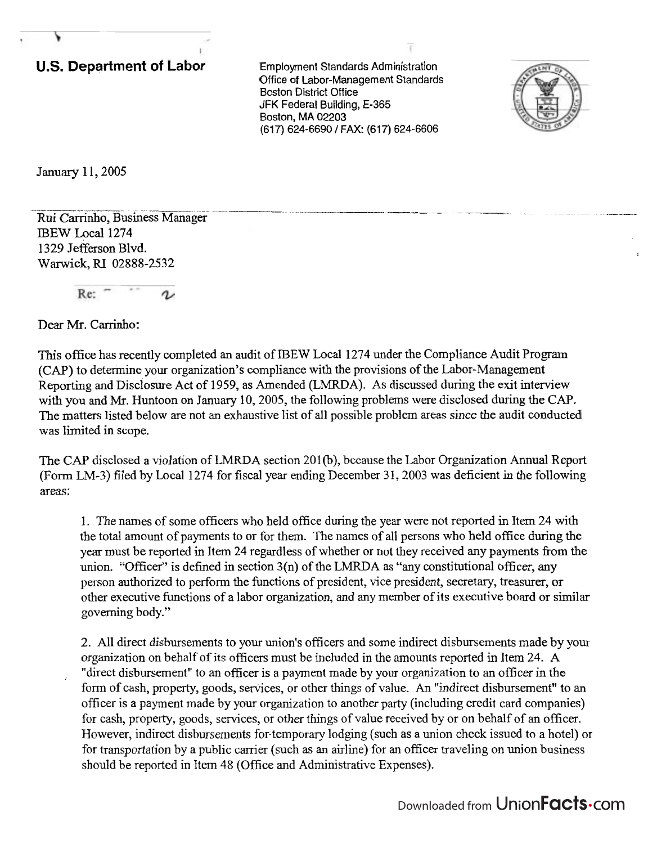## **U.S. Department of Labor** Employment Standards Administration

Office of Labor-Management Standards **Boston District Office** JFK Federal Building, E-365 Boston, MA 02203 (617) 624-6690 / FAX: (617) 624-6606



January 11, 2005

- - -- - -- - - -- - - - - - - -- -. Rui Carrinho, ~usine-ag& IBEW Local 1274 1329 Jefferson Blvd. **<sup>i</sup> Warwick,** RI 02888-2532

Re:

Dear Mr. Carrinho:

This office has recently completed an audit of IBEW Local 1274 under the Compliance Audit Program (CAP) to determine your organization's compliance with the provisions of the Labor-Management Reporting and Disclosure Act of 1959, as Amended (LMRDA). As discussed during the exit interview with you and Mr. Huntoon on January 10,2005, the following problems were disclosed during the CAP. The matters listed below are not an exhaustive list of all possible problem areas since the audit conducted was limited in scope.

The CAP disclosed a violation of LMRDA section 201(b), because the Labor Organization Annual Report (Form LM-3) filed by Local 1274 for fiscal year ending December 31, 2003 was deficient in the following areas:

1. The names of some officers who held office during the year were not reported in Item 24 with the total amount of payments to or for them. The names of all persons who held office during the year must be reported in Item 24 regardless of whether or not they received any payments from the union. "Officer" is defined in section 3(n) of the LMRDA as "any constitutional officer, any person authorized to perfom the functions of president, vice president, secretary, treasurer, or other executive functions of a labor organization, and any member of its executive board or similar governing body."

2. All direct disbursements to your union's officers and some indirect disbursements made by your organization on behalf of its officers must be included in the amounts reported in Item 24. **A**  "direct disbursement" to an officer is a payment made by your organization to an officer in the form of cash, property, goods, services, or other things of value. An "indirect disbursement" to an officer is a payment made by your organization to another party (including credit card companies) for cash, property, goods, services, or other things of value received by or on behalf of an officer. However, indirect disbursements for-temporary lodging (such as a union check issued to a hotel) or for transportation by a public carrier (such as an airline) for an officer traveling on union business should be reported in Item 48 (Office and Administrative Expenses).